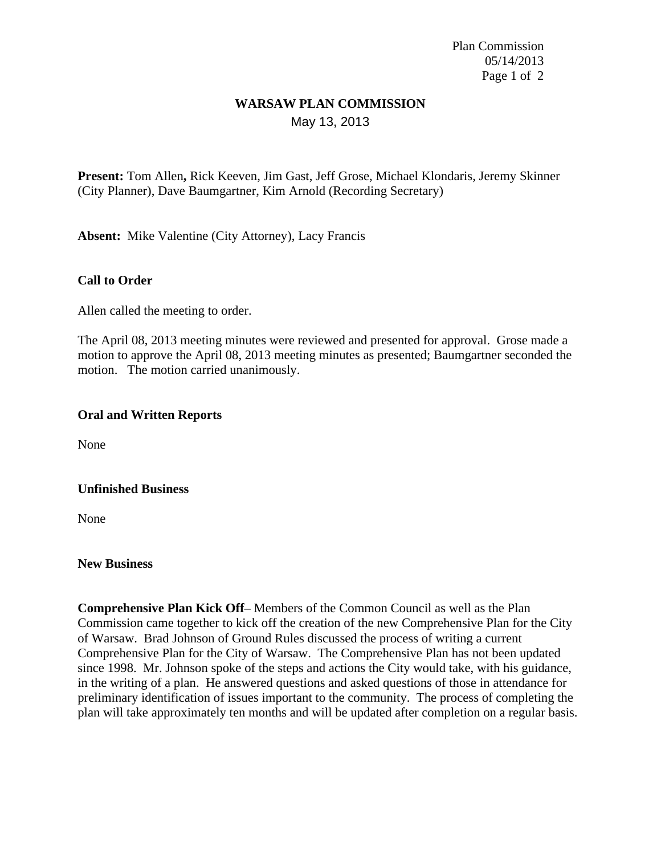Plan Commission 05/14/2013 Page 1 of 2

## **WARSAW PLAN COMMISSION** May 13, 2013

**Present:** Tom Allen**,** Rick Keeven, Jim Gast, Jeff Grose, Michael Klondaris, Jeremy Skinner (City Planner), Dave Baumgartner, Kim Arnold (Recording Secretary)

**Absent:** Mike Valentine (City Attorney), Lacy Francis

## **Call to Order**

Allen called the meeting to order.

The April 08, 2013 meeting minutes were reviewed and presented for approval. Grose made a motion to approve the April 08, 2013 meeting minutes as presented; Baumgartner seconded the motion. The motion carried unanimously.

### **Oral and Written Reports**

None

### **Unfinished Business**

None

#### **New Business**

**Comprehensive Plan Kick Off–** Members of the Common Council as well as the Plan Commission came together to kick off the creation of the new Comprehensive Plan for the City of Warsaw. Brad Johnson of Ground Rules discussed the process of writing a current Comprehensive Plan for the City of Warsaw. The Comprehensive Plan has not been updated since 1998. Mr. Johnson spoke of the steps and actions the City would take, with his guidance, in the writing of a plan. He answered questions and asked questions of those in attendance for preliminary identification of issues important to the community. The process of completing the plan will take approximately ten months and will be updated after completion on a regular basis.